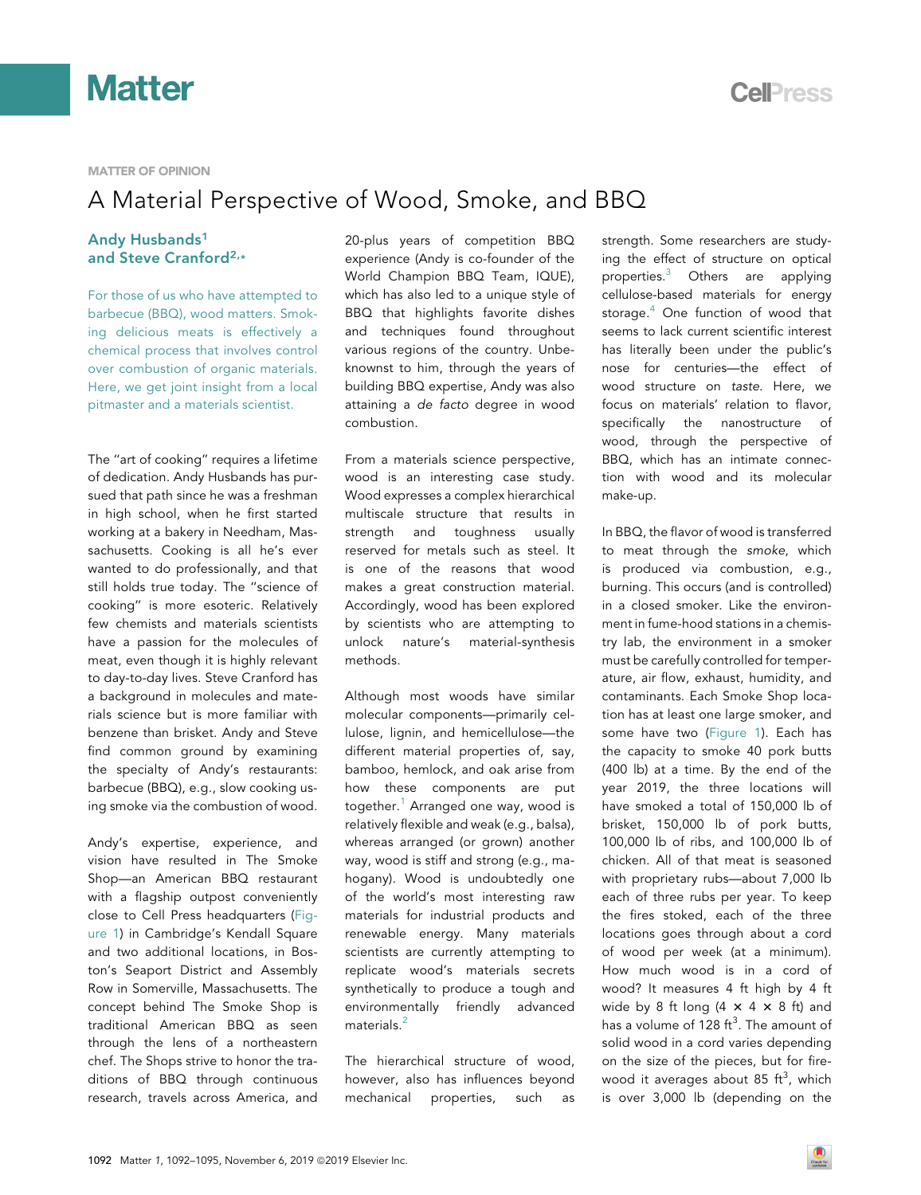



### **MATTER OF OPINION**

### A Material Perspective of Wood, Smoke, and BBQ

### Andy Husband[s1](#page-3-0) and Steve Cranford[2](#page-3-1),[\\*](#page-3-2)

For those of us who have attempted to barbecue (BBQ), wood matters. Smoking delicious meats is effectively a chemical process that involves control over combustion of organic materials. Here, we get joint insight from a local pitmaster and a materials scientist.

The ''art of cooking'' requires a lifetime of dedication. Andy Husbands has pursued that path since he was a freshman in high school, when he first started working at a bakery in Needham, Massachusetts. Cooking is all he's ever wanted to do professionally, and that still holds true today. The ''science of cooking'' is more esoteric. Relatively few chemists and materials scientists have a passion for the molecules of meat, even though it is highly relevant to day-to-day lives. Steve Cranford has a background in molecules and materials science but is more familiar with benzene than brisket. Andy and Steve find common ground by examining the specialty of Andy's restaurants: barbecue (BBQ), e.g., slow cooking using smoke via the combustion of wood.

Andy's expertise, experience, and vision have resulted in The Smoke Shop—an American BBQ restaurant with a flagship outpost conveniently close to Cell Press headquarters ([Fig](#page-1-0)[ure 1\)](#page-1-0) in Cambridge's Kendall Square and two additional locations, in Boston's Seaport District and Assembly Row in Somerville, Massachusetts. The concept behind The Smoke Shop is traditional American BBQ as seen through the lens of a northeastern chef. The Shops strive to honor the traditions of BBQ through continuous research, travels across America, and 20-plus years of competition BBQ experience (Andy is co-founder of the World Champion BBQ Team, IQUE), which has also led to a unique style of BBQ that highlights favorite dishes and techniques found throughout various regions of the country. Unbeknownst to him, through the years of building BBQ expertise, Andy was also attaining a de facto degree in wood combustion.

From a materials science perspective, wood is an interesting case study. Wood expresses a complex hierarchical multiscale structure that results in strength and toughness usually reserved for metals such as steel. It is one of the reasons that wood makes a great construction material. Accordingly, wood has been explored by scientists who are attempting to unlock nature's material-synthesis methods.

Although most woods have similar molecular components—primarily cellulose, lignin, and hemicellulose—the different material properties of, say, bamboo, hemlock, and oak arise from how these components are put together.<sup>[1](#page-3-3)</sup> Arranged one way, wood is relatively flexible and weak (e.g., balsa), whereas arranged (or grown) another way, wood is stiff and strong (e.g., mahogany). Wood is undoubtedly one of the world's most interesting raw materials for industrial products and renewable energy. Many materials scientists are currently attempting to replicate wood's materials secrets synthetically to produce a tough and environmentally friendly advanced materials. $<sup>2</sup>$  $<sup>2</sup>$  $<sup>2</sup>$ </sup>

The hierarchical structure of wood, however, also has influences beyond mechanical properties, such as strength. Some researchers are studying the effect of structure on optical properties.[3](#page-3-5) Others are applying cellulose-based materials for energy storage. $4$  One function of wood that seems to lack current scientific interest has literally been under the public's nose for centuries—the effect of wood structure on taste. Here, we focus on materials' relation to flavor, specifically the nanostructure of wood, through the perspective of BBQ, which has an intimate connection with wood and its molecular make-up.

In BBQ, the flavor of wood is transferred to meat through the smoke, which is produced via combustion, e.g., burning. This occurs (and is controlled) in a closed smoker. Like the environment in fume-hood stations in a chemistry lab, the environment in a smoker must be carefully controlled for temperature, air flow, exhaust, humidity, and contaminants. Each Smoke Shop location has at least one large smoker, and some have two ([Figure 1\)](#page-1-0). Each has the capacity to smoke 40 pork butts (400 lb) at a time. By the end of the year 2019, the three locations will have smoked a total of 150,000 lb of brisket, 150,000 lb of pork butts, 100,000 lb of ribs, and 100,000 lb of chicken. All of that meat is seasoned with proprietary rubs—about 7,000 lb each of three rubs per year. To keep the fires stoked, each of the three locations goes through about a cord of wood per week (at a minimum). How much wood is in a cord of wood? It measures 4 ft high by 4 ft wide by 8 ft long  $(4 \times 4 \times 8)$  ft) and has a volume of 128 ft<sup>3</sup>. The amount of solid wood in a cord varies depending on the size of the pieces, but for firewood it averages about 85  $\mathrm{ft}^3$ , which is over 3,000 lb (depending on the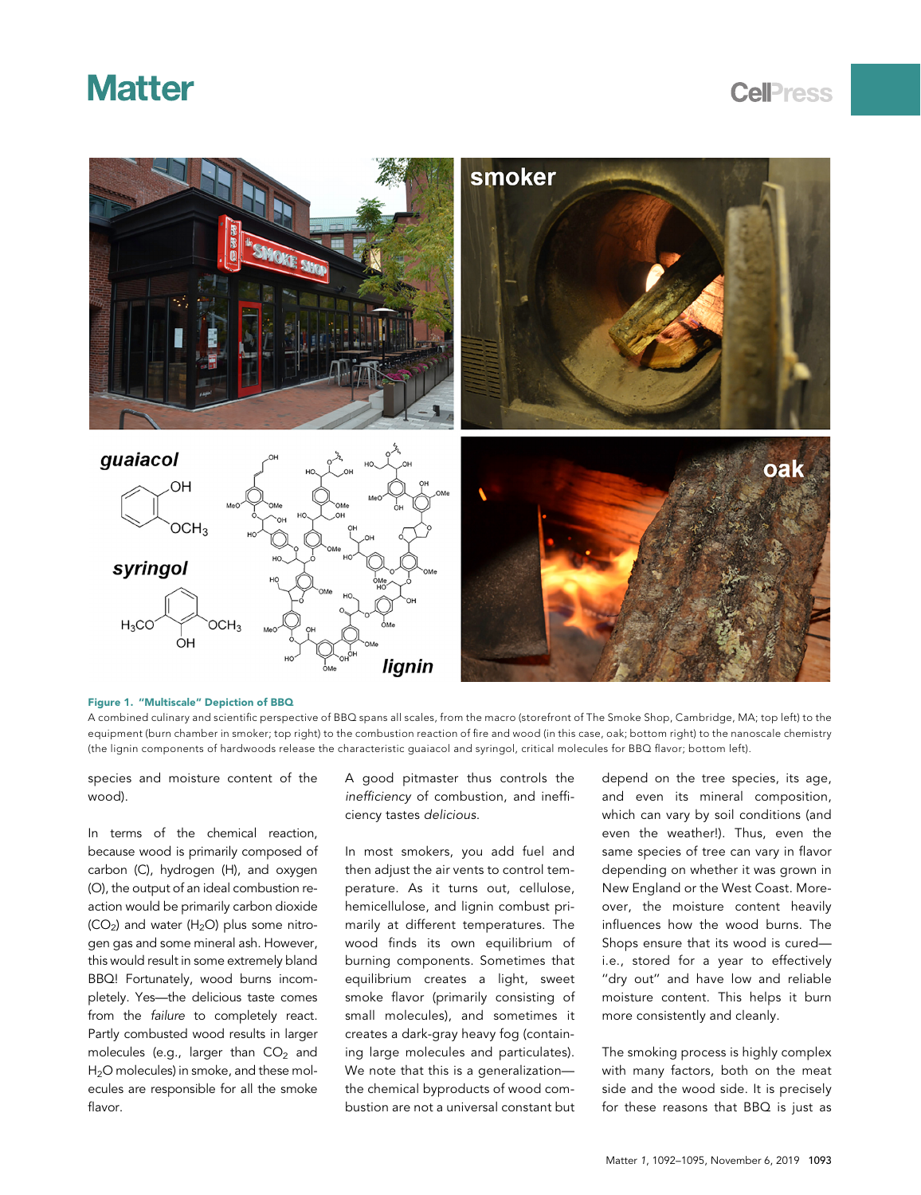## **Matter**

<span id="page-1-0"></span>

Figure 1. ''Multiscale'' Depiction of BBQ A combined culinary and scientific perspective of BBQ spans all scales, from the macro (storefront of The Smoke Shop, Cambridge, MA; top left) to the equipment (burn chamber in smoker; top right) to the combustion reaction of fire and wood (in this case, oak; bottom right) to the nanoscale chemistry (the lignin components of hardwoods release the characteristic guaiacol and syringol, critical molecules for BBQ flavor; bottom left).

species and moisture content of the wood).

In terms of the chemical reaction, because wood is primarily composed of carbon (C), hydrogen (H), and oxygen (O), the output of an ideal combustion reaction would be primarily carbon dioxide  $(CO<sub>2</sub>)$  and water  $(H<sub>2</sub>O)$  plus some nitrogen gas and some mineral ash. However, this would result in some extremely bland BBQ! Fortunately, wood burns incompletely. Yes—the delicious taste comes from the failure to completely react. Partly combusted wood results in larger molecules (e.g., larger than  $CO<sub>2</sub>$  and H<sub>2</sub>O molecules) in smoke, and these molecules are responsible for all the smoke flavor.

A good pitmaster thus controls the inefficiency of combustion, and inefficiency tastes delicious.

In most smokers, you add fuel and then adjust the air vents to control temperature. As it turns out, cellulose, hemicellulose, and lignin combust primarily at different temperatures. The wood finds its own equilibrium of burning components. Sometimes that equilibrium creates a light, sweet smoke flavor (primarily consisting of small molecules), and sometimes it creates a dark-gray heavy fog (containing large molecules and particulates). We note that this is a generalization the chemical byproducts of wood combustion are not a universal constant but depend on the tree species, its age, and even its mineral composition, which can vary by soil conditions (and even the weather!). Thus, even the same species of tree can vary in flavor depending on whether it was grown in New England or the West Coast. Moreover, the moisture content heavily influences how the wood burns. The Shops ensure that its wood is cured i.e., stored for a year to effectively "dry out" and have low and reliable moisture content. This helps it burn more consistently and cleanly.

The smoking process is highly complex with many factors, both on the meat side and the wood side. It is precisely for these reasons that BBQ is just as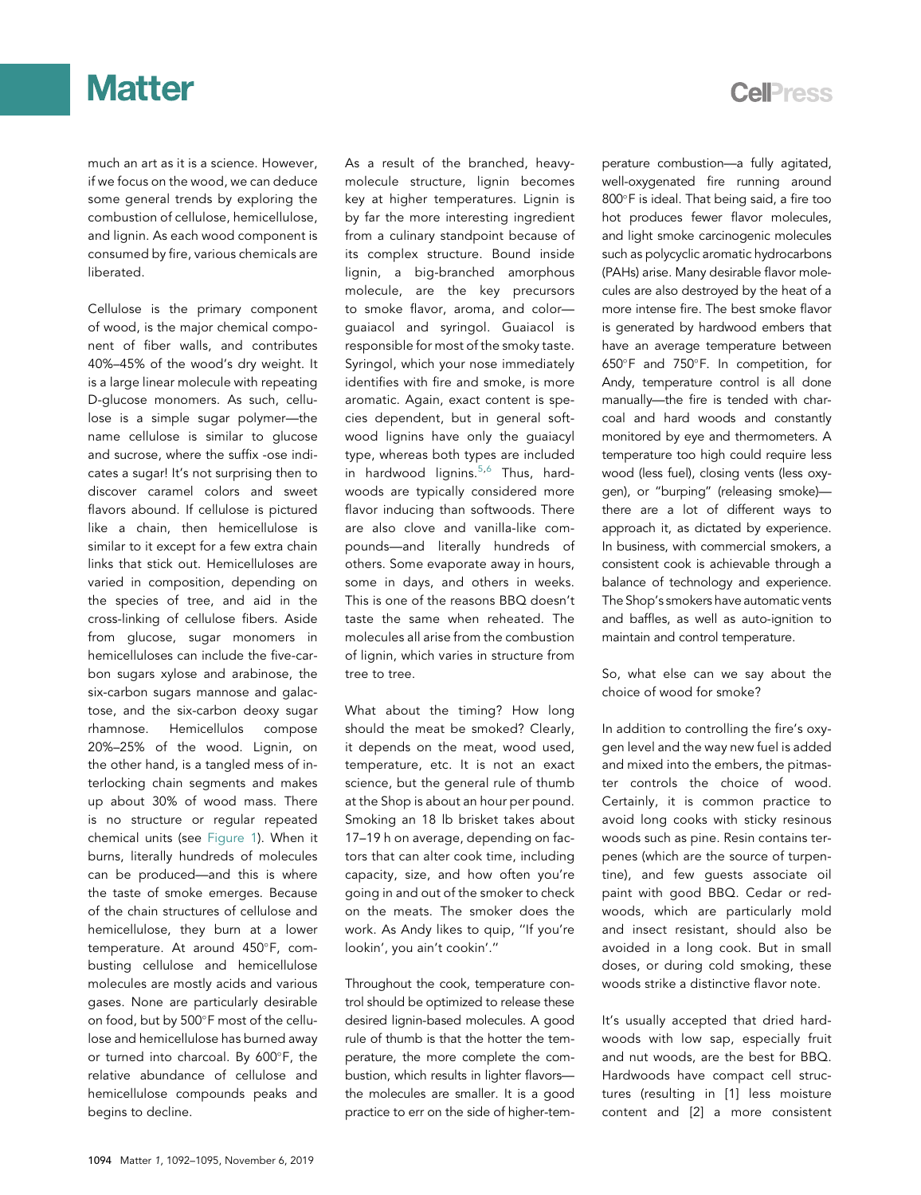# **Matter**

much an art as it is a science. However, if we focus on the wood, we can deduce some general trends by exploring the combustion of cellulose, hemicellulose, and lignin. As each wood component is consumed by fire, various chemicals are liberated.

Cellulose is the primary component of wood, is the major chemical component of fiber walls, and contributes 40%–45% of the wood's dry weight. It is a large linear molecule with repeating D-glucose monomers. As such, cellulose is a simple sugar polymer—the name cellulose is similar to glucose and sucrose, where the suffix -ose indicates a sugar! It's not surprising then to discover caramel colors and sweet flavors abound. If cellulose is pictured like a chain, then hemicellulose is similar to it except for a few extra chain links that stick out. Hemicelluloses are varied in composition, depending on the species of tree, and aid in the cross-linking of cellulose fibers. Aside from glucose, sugar monomers in hemicelluloses can include the five-carbon sugars xylose and arabinose, the six-carbon sugars mannose and galactose, and the six-carbon deoxy sugar rhamnose. Hemicellulos compose 20%–25% of the wood. Lignin, on the other hand, is a tangled mess of interlocking chain segments and makes up about 30% of wood mass. There is no structure or regular repeated chemical units (see [Figure 1\)](#page-1-0). When it burns, literally hundreds of molecules can be produced—and this is where the taste of smoke emerges. Because of the chain structures of cellulose and hemicellulose, they burn at a lower temperature. At around 450°F, combusting cellulose and hemicellulose molecules are mostly acids and various gases. None are particularly desirable on food, but by 500°F most of the cellulose and hemicellulose has burned away or turned into charcoal. By 600°F, the relative abundance of cellulose and hemicellulose compounds peaks and begins to decline.

As a result of the branched, heavymolecule structure, lignin becomes key at higher temperatures. Lignin is by far the more interesting ingredient from a culinary standpoint because of its complex structure. Bound inside lignin, a big-branched amorphous molecule, are the key precursors to smoke flavor, aroma, and color guaiacol and syringol. Guaiacol is responsible for most of the smoky taste. Syringol, which your nose immediately identifies with fire and smoke, is more aromatic. Again, exact content is species dependent, but in general softwood lignins have only the guaiacyl type, whereas both types are included in hardwood lignins. $5,6$  $5,6$  Thus, hardwoods are typically considered more flavor inducing than softwoods. There are also clove and vanilla-like compounds—and literally hundreds of others. Some evaporate away in hours, some in days, and others in weeks. This is one of the reasons BBQ doesn't taste the same when reheated. The molecules all arise from the combustion of lignin, which varies in structure from tree to tree.

What about the timing? How long should the meat be smoked? Clearly, it depends on the meat, wood used, temperature, etc. It is not an exact science, but the general rule of thumb at the Shop is about an hour per pound. Smoking an 18 lb brisket takes about 17–19 h on average, depending on factors that can alter cook time, including capacity, size, and how often you're going in and out of the smoker to check on the meats. The smoker does the work. As Andy likes to quip, ''If you're lookin', you ain't cookin'.''

Throughout the cook, temperature control should be optimized to release these desired lignin-based molecules. A good rule of thumb is that the hotter the temperature, the more complete the combustion, which results in lighter flavors the molecules are smaller. It is a good practice to err on the side of higher-temperature combustion—a fully agitated, well-oxygenated fire running around 800°F is ideal. That being said, a fire too hot produces fewer flavor molecules, and light smoke carcinogenic molecules such as polycyclic aromatic hydrocarbons (PAHs) arise. Many desirable flavor molecules are also destroyed by the heat of a more intense fire. The best smoke flavor is generated by hardwood embers that have an average temperature between 650F and 750F. In competition, for Andy, temperature control is all done manually—the fire is tended with charcoal and hard woods and constantly monitored by eye and thermometers. A temperature too high could require less wood (less fuel), closing vents (less oxygen), or ''burping'' (releasing smoke) there are a lot of different ways to approach it, as dictated by experience. In business, with commercial smokers, a consistent cook is achievable through a balance of technology and experience. The Shop's smokers have automatic vents and baffles, as well as auto-ignition to maintain and control temperature.

So, what else can we say about the choice of wood for smoke?

In addition to controlling the fire's oxygen level and the way new fuel is added and mixed into the embers, the pitmaster controls the choice of wood. Certainly, it is common practice to avoid long cooks with sticky resinous woods such as pine. Resin contains terpenes (which are the source of turpentine), and few guests associate oil paint with good BBQ. Cedar or redwoods, which are particularly mold and insect resistant, should also be avoided in a long cook. But in small doses, or during cold smoking, these woods strike a distinctive flavor note.

It's usually accepted that dried hardwoods with low sap, especially fruit and nut woods, are the best for BBQ. Hardwoods have compact cell structures (resulting in [1] less moisture content and [2] a more consistent